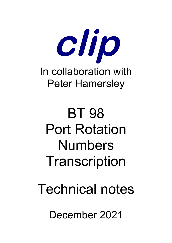

BT 98 Port Rotation Numbers **Transcription** 

Technical notes

December 2021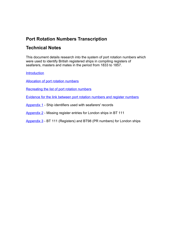# **Port Rotation Numbers Transcription**

## **Technical Notes**

This document details research into the system of port rotation numbers which were used to identify British registered ships in compiling registers of seafarers, masters and mates in the period from 1833 to 1857.

#### **[Introduction](#page-2-0)**

[Allocation of port rotation numbers](#page-4-0)

[Recreating the list of port rotation numbers](#page-7-0)

[Evidence for the link between port rotation numbers and register numbers](#page-9-0)

[Appendix 1](#page-14-0) - Ship identifiers used with seafarers' records

[Appendix 2](#page-15-0) - Missing register entries for London ships in BT 111

[Appendix 3](#page-16-0) - BT 111 (Registers) and BT98 (PR numbers) for London ships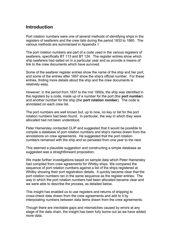### <span id="page-2-0"></span>**Introduction**

Port rotation numbers were one of several methods of identifying ships in the registers of seafarers and the crew lists during the period 1833 to 1860. The various methods are summarised in Appendix 1

The port rotation numbers are part of a code used in the various registers of seafarers, specifically BT 113 and BT 124. The register entries show which ship seafarers had sailed on in a particular year and so provide a means of link to the crew documents which have survived.

Some of the seafarer register entries show the name of the ship and her port, and some of the entries after 1857 show the ship's official number. For these entries, finding more details about the ship and the crew documents is relatively easy.

However, in the period from 1837 to the mid 1850s, the ship was identified in the registers by a code, made up of a number for the port (the **port number**) and another number for the ship (the **port rotation number**). The code is annotated on each crew list.

The port numbers are well known but, up to now, no key or list for the port rotation numbers had been found. In particular, the way in which they were allocated had not been understood.

Peter Hamersley contacted CLIP and suggested that it would be possible to compile a database of port rotation numbers and ship's names drawn from the annotations on crew agreements. He suggested that the port rotation numbers remained with the ship and so persisted from one year to the next.

This seemed a plausible suggestion and constructing a simple database as suggested was a straightforward proposition.

We made further investigations based on sample data which Peter Hamersley had compiled from crew agreements for Whitby ships. We compared the sequence of port rotation numbers against a list of the ships registered at Whitby showing their port registration details. It quickly became clear that the port rotation numbers ran in the same sequence as the register entries. The way in which the port rotation numbers had been allocated became clear and we were able to describe the process, as detailed below.

This insight has enabled us to use registers and returns of shipping to cross-check data drawn from the crew agreements and add to it by interpolating numbers between data items drawn from the crew agreements.

Though there are inevitable gaps and mismatches caused by errors at any stage of the data chain, the insight has been fully borne out as we have added more data.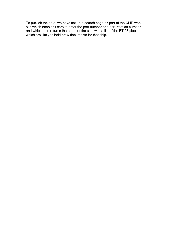To publish the data, we have set up a search page as part of the CLIP web site which enables users to enter the port number and port rotation number and which then returns the name of the ship with a list of the BT 98 pieces which are likely to hold crew documents for that ship.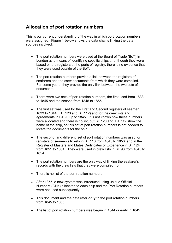## <span id="page-4-0"></span>**Allocation of port rotation numbers**

This is our current understanding of the way in which port rotation numbers were assigned. Figure 1 below shows the data chains linking the data sources involved.

- The port rotation numbers were used at the Board of Trade (BoT) in London as a means of identifying specific ships and, though they were based on the registers at the ports of registry, there is no evidence that they were used outside of the BoT.
- The port rotation numbers provide a link between the registers of seafarers and the crew documents from which they were compiled. For some years, they provide the only link between the two sets of documents.
- There were two sets of port rotation numbers, the first used from 1833 to 1845 and the second from 1845 to 1855.
- The first set was used for the First and Second registers of seamen, 1833 to 1844, (BT 120 and BT 112) and for the crew lists and agreements in BT 98 up to 1845. It is not known how these numbers were allocated and there is no list, but BT 120 and BT 112 show the name of the ship, so this set of port rotation numbers is not needed to locate the documents for the ship.
- The second, and different, set of port rotation numbers was used for registers of seamen's tickets in BT 113 from 1845 to 1856 and in the Register of Masters and Mates Certificates of Experience in BT 124 from 1851 to 1854. They were used in crew lists in BT 98 from 1845 to 1854.
- The port rotation numbers are the only way of linking the seafarer's records with the crew lists that they were compiled from.
- There is no list of the port rotation numbers.
- After 1855, a new system was introduced using unique Official Numbers (ONs) allocated to each ship and the Port Rotation numbers were not used subsequently.
- This document and the data refer **only** to the port rotation numbers from 1845 to 1855.
- The list of port rotation numbers was begun in 1844 or early in 1845.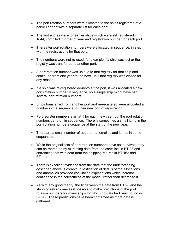- The port rotation numbers were allocated to the ships registered at a particular port with a separate list for each port.
- The first entries were for earlier ships which were still registered in 1844, compiled in order of year and registration number for each port.
- Thereafter port rotation numbers were allocated in sequence, in step with the registrations for that port.
- The numbers were not re-used, for example if a ship was lost or the registry was transferred to another port.
- A port rotation number was unique to that registry for that ship and continued from one year to the next, until that registry was closed for any reason.
- If a ship was re-registered de-novo at the port, it was allocated a new port rotation number in sequence, so a single ship might have had several port rotation numbers.
- Ships transferred from another port and re-registered were allocated a number in the sequence for their new port of registration.
- Port register numbers start at 1 for each new year, but the port rotation numbers carry on in sequence. There is sometimes a small jump in the port rotation numbers sequence at the start of the new year.
- There are a small number of apparent anomalies and jumps in some sequences.
- While the original lists of port rotation numbers have not survived, they can be recreated by extracting data from the crew lists in BT 98 and correlating that with data from the shipping returns in BT 162 and BT 111.
- There is excellent evidence from the data that the understanding described above is correct. Investigation of details of the allocations and anomalies provided convincing explanations which increase confidence in the correctness of the model, rather than decrease it.
- As with any good theory, the fit between the data from BT 98 and the shipping returns makes it possible to make predictions of the port rotation numbers for many ships for which no data had been found in BT 98. These predictions have been confirmed as more data is gathered.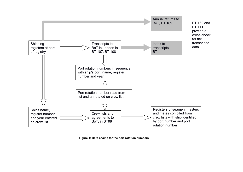

**Figure 1: Data chains for the port rotation numbers**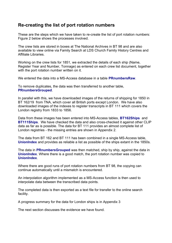### <span id="page-7-0"></span>**Re-creating the list of port rotation numbers**

These are the steps which we have taken to re-create the list of port rotation numbers: Figure 2 below shows the processes involved.

The crew lists are stored in boxes at The National Archives in BT 98 and are also available to view online via Family Search at LDS Church Family History Centres and Affiliate Libraries.

Working on the crew lists for 1851, we extracted the details of each ship (Name, Register Year and Number, Tonnage) as entered on each crew list document, together with the port rotation number written on it.

We entered the data into a MS-Access database in a table **PRnumbersRaw**.

To remove duplicates, the data was then transferred to another table, **PRnumbersGrouped**.

In parallel with this, we have downloaded images of the returns of shipping for 1850 in BT 162/19 from TNA, which cover all British ports except London. We have also downloaded images of the indexes to register transcripts in BT 111 which covers the London registry from 1833 to 1856.

Data from these images has been entered into MS-Access tables, **BT162Ships** and **BT111Ships**. We have checked the data and also cross-checked it against other CLIP data as far as is possible. The data for BT 111 provides an almost complete list of London registries - the missing entries are shown in Appendix 2.

The data from BT 162 and BT 111 has been combined in a single MS-Access table, **UnionIndex** and provides as reliable a list as possible of the ships extant in the 1850s.

The data in **PRnumbersGrouped** was then matched, ship by ship, against the data in **UnionIndex**. Where there is a good match, the port rotation number was copied to **UnionIndex**.

Where there are good runs of port rotation numbers from BT 98, the copying can continue automatically until a mismatch is encountered.

An interpolation algorithm implemented as a MS-Access function is then used to interpolate data between the transcribed data points.

The completed data is then exported as a text file for transfer to the online search facility.

A progress summary for the data for London ships is in Appendix 3

The next section discusses the evidence we have found.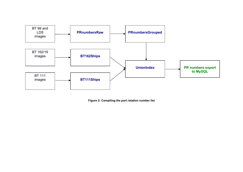

**Figure 2: Compiling the port rotation number list**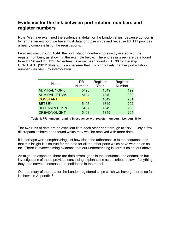### <span id="page-9-0"></span>**Evidence for the link between port rotation numbers and register numbers**

Note: We have examined the evidence in detail for the London ships, because London is by far the largest port, we have most data for those ships and because BT 111 provides a nearly complete list of the registrations.

From midway through 1844, the port rotation numbers go exactly in step with the register numbers, as shown in the example below. The entries in green are data found from BT 98 and BT 111. No entries have yet been found in BT 98 for the ship CONSTANT (201/1849) but it can be seen that it is highly likely that her port rotation number was 5495, by interpolation.

| Name                  | PR.<br>Number | Register<br>Year | Register<br>Number |
|-----------------------|---------------|------------------|--------------------|
| <b>ADMIRAL YORK</b>   | 5493          | 1849             | 199                |
| <b>ADMIRAL JERVIS</b> | 5494          | 1849             | 200                |
| <b>CONSTANT</b>       |               | 1849             | 201                |
| <b>BETSEY</b>         | 5496          | 1849             | 202                |
| <b>BENJAMIN ELKIN</b> | 5497          | 1849             | 203                |
| <b>DREADNOUGHT</b>    | 5498          | 1849             | 204                |

**Table 1: PR numbers running in sequence with register numbers - London, 1849**

The two runs of data are an excellent fit to each other right through to 1851. Only a few discrepancies have been found which may well be resolved with more data.

It is perhaps worth emphasising just how close the adherence is to the sequence and that this insight is also true for the data for all the other ports which have worked on so far. There is overwhelming evidence that our understanding is correct as set out above.

As might be expected, there are data errors, gaps in the sequence and anomalies but investigations of those provides convincing explanations as described below. If anything, they then serve to increase our confidence in the model.

Our summary of the data for the London registered ships which we have gathered so far is shown in Appendix 3.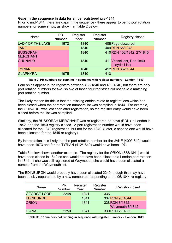#### **Gaps in the sequence in data for ships registered pre-1844.**

Prior to mid-1844, there are gaps in the sequence - there appear to be no port rotation numbers for some ships, as shown in Table 2 below.

| Name                    | <b>PR</b><br><b>Number</b> | Register<br>Year | Register<br>Number | Registry closed           |
|-------------------------|----------------------------|------------------|--------------------|---------------------------|
| <b>LADY OF THE LAKE</b> | 1972                       | 1840             |                    | 408 Page obscured         |
| <b>JANE</b>             |                            | 1840             |                    | 409 RDN 65/1848           |
| <b>BUSSORAH</b>         |                            | 1840             |                    | 410 RDN 102/1842, 27/1845 |
| <b>MERCHANT</b>         |                            |                  |                    |                           |
| <b>CHUNAUB</b>          |                            | 1840             |                    | 411 Vessel lost, Dec 1840 |
|                         |                            |                  |                    | (Lloyd's List)            |
| <b>TYRIAN</b>           |                            | 1840             |                    | 412 RDN 352/1844          |
| <b>GLAPHYRA</b>         | 1975                       | 1840             | 413                |                           |

#### **Table 2: PR numbers not running in sequence with register numbers - London, 1840**

Four ships appear in the registers between 408/1840 and 413/1840, but there are only port rotation numbers for two, so two of those four registries did not have a matching port rotation number.

The likely reason for this is that the missing entries relate to registrations which had been closed when the port rotation numbers list was compiled in 1844. For example, the CHINAUB, was lost soon after registration, so the register entry would have been closed before the list was compiled.

Similarly, the BUSSORAH MERCHANT was re-registered de-novo (RDN) in London in 1842, and the 1840 registry closed. A port registration number would have been allocated for the 1842 registration, but not for the 1840. (Later, a second one would have been allocated for the 1845 re-registry).

By interpolation, it is likely that the port rotation number for the JANE (409/1840) would have been 1973 and for the TYRIAN (412/1840) would have been 1974.

Table 3 below shows another example. The registry for the ORION (338/1841) would have been closed in 1842 so she would not have been allocated a London port rotation in 1844 - if she was still registered at Weymouth, she would have been allocated a number from the Weymouth list.

The EDINBURGH would probably have been allocated 2249, though this may have been quickly superseded by a new number corresponding to the 96/1844 re-registry.

| Name               | <b>PR</b><br><b>Number</b> | Register<br>Year | Register<br><b>Number</b> | Registry closed |
|--------------------|----------------------------|------------------|---------------------------|-----------------|
| <b>GEORGE LORD</b> | 2248                       | 1841             | 336                       |                 |
| <b>EDINBURGH</b>   |                            | 1841             |                           | 337 RDN 96/1844 |
| <b>ORION</b>       |                            | 1841             |                           | 338 RDN 8/1842, |
|                    |                            |                  |                           | Weymouth 6/1842 |
| <b>DIANA</b>       | 2250                       | 1841             |                           | 339 RDN 20/1852 |

**Table 3: PR numbers not running in sequence with register numbers - London, 1841**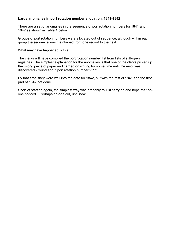#### **Large anomalies in port rotation number allocation, 1841-1842**

There are a set of anomalies in the sequence of port rotation numbers for 1841 and 1842 as shown in Table 4 below.

Groups of port rotation numbers were allocated out of sequence, although within each group the sequence was maintained from one record to the next.

What may have happened is this:

The clerks will have compiled the port rotation number list from lists of still-open registries. The simplest explanation for the anomalies is that one of the clerks picked up the wrong piece of paper and carried on writing for some time until the error was discovered - round about port rotation number 2392.

By that time, they were well into the data for 1842, but with the rest of 1841 and the first part of 1842 not done.

Short of starting again, the simplest way was probably to just carry on and hope that noone noticed. Perhaps no-one did, until now.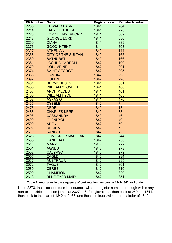| <b>PR Number</b> | <b>Name</b>               | <b>Register Year</b> | <b>Register Number</b> |
|------------------|---------------------------|----------------------|------------------------|
| 2206             | <b>EDWARD BARNETT</b>     | 1841                 | 264                    |
| 2214             | <b>LADY OF THE LAKE</b>   | 1841                 | 278                    |
| 2226             | <b>LORD HUNGERFORD</b>    | 1841                 | 302                    |
| 2248             | <b>GEORGE LORD</b>        | 1841                 | 336                    |
| 2250             | <b>DIANA</b>              | 1841                 | 339                    |
| 2273             | <b>GOOD INTENT</b>        | 1841                 | 368                    |
| 2327             | <b>ATHENIAN</b>           | 1842                 | 144                    |
| 2338             | <b>CITY OF THE SULTAN</b> | 1842                 | 165                    |
| 2339             | <b>BATHURST</b>           | 1842                 | 166                    |
| 2361             | <b>JOSHUA CARROLL</b>     | 1842                 | 190                    |
| 2370             | <b>COLUMBINE</b>          | 1842                 | 201                    |
| 2374             | <b>SAINT GEORGE</b>       | 1842                 | 205                    |
| 2388             | <b>GAMBIA</b>             | 1842                 | 220                    |
| 2392             | <b>QUEEN</b>              | 1842                 | 226                    |
| 2401             | <b>BERMONDSEY</b>         | 1841                 | 381                    |
| 2456             | <b>WILLIAM STOVELD</b>    | 1841                 | 460                    |
| 2457             | <b>ARCHIMEDES</b>         | 1841                 | 461                    |
| 2460             | <b>WILLIAM HYDE</b>       | 1841                 | 465                    |
| 2462             | <b>ASPASIO</b>            | 1841                 | 470                    |
| 2467             | <b>CYBELE</b>             | 1842                 | $\overline{7}$         |
| 2473             | <b>DEDE</b>               | 1842                 | 18                     |
| 2488             | <b>CHARLES KERR</b>       | 1842                 | 38                     |
| 2496             | <b>CASSANDRA</b>          | 1842                 | 46                     |
| 2499             | <b>GLENLYON</b>           | 1842                 | 49                     |
| 2500             | <b>ADEN</b>               | 1842                 | 50                     |
| 2502             | <b>REGINA</b>             | 1842                 | 52                     |
| 2519             | <b>RANGER</b>             | 1842                 | 72                     |
| 2526             | <b>GOVERNOR MACLEAN</b>   | 1842                 | 244                    |
| 2535             | <b>CANDIDATE</b>          | 1842                 | 258                    |
| 2547             | <b>MARY</b>               | 1842                 | 272                    |
| 2551             | <b>AGNES</b>              | 1842                 | 278                    |
| 2552             | <b>CALYPSO</b>            | 1842                 | 279                    |
| 2557             | <b>EAGLE</b>              | 1842                 | 284                    |
| 2567             | <b>AUSTRALIA</b>          | 1842                 | 295                    |
| 2572             | <b>TAGUS</b>              | 1842                 | 301                    |
| 2580             | <b>CERES</b>              | 1842                 | 310                    |
| 2599             | <b>CHAMPION</b>           | 1842                 | 329                    |
| 2613             | <b>BLUE EYED MAID</b>     | 1842                 | 351                    |

Up to 2273, the allocation runs in sequence with the register numbers (though with many non-extant ships). It then jumps at 2327 to 842 registrations, then back at 2401 to 1841, then back to the start of 1842 at 2467, and then continues with the remainder of 1842.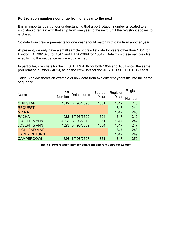#### **Port rotation numbers continue from one year to the next**

It is an important part of our understanding that a port rotation number allocated to a ship should remain with that ship from one year to the next, until the registry it applies to is closed.

So data from crew agreements for one year should match with data from another year.

At present, we only have a small sample of crew list data for years other than 1851 for London (BT 98/1326 for 1847 and BT 98/3869 for 1854). Data from these samples fits exactly into the sequence as we would expect.

In particular, crew lists for the JOSEPH & ANN for both 1854 and 1851 show the same port rotation number - 4623, as do the crew lists for the JOSEPH SHEPHERD - 5518.

Table 5 below shows an example of how data from two different years fits into the same sequence.

| Name                    | PR<br>Number | Data source     | Source<br>Year | Register<br>Year | Registe<br>Number |
|-------------------------|--------------|-----------------|----------------|------------------|-------------------|
| <b>CHRISTABEL</b>       | 4619         | BT 98/2598      | 1851           | 1847             | 243               |
| <b>REQUEST</b>          |              |                 |                | 1847             | 244               |
| <b>MINNA</b>            |              |                 |                | 1847             | 245               |
| <b>PACHA</b>            |              | 4622 BT 98/3869 | 1854           | 1847             | 246               |
| <b>JOSEPH &amp; ANN</b> | 4623         | BT 98/2612      | 1851           | 1847             | 247               |
| <b>JOSEPH &amp; ANN</b> | 4623         | BT 98/3869      | 1854           | 1847             | 247               |
| <b>HIGHLAND MAID</b>    |              |                 |                | 1847             | 248               |
| <b>HAPPY RETURN</b>     |              |                 |                | 1847             | 249               |
| <b>CAMPERDOWN</b>       | 4626         | BT 98/2597      | 1851           | 1847             | 250               |

**Table 5: Port rotation number data from different years for London**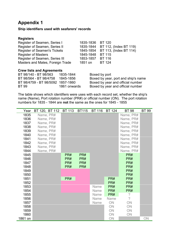### <span id="page-14-0"></span>**Appendix 1**

#### **Ship identifiers used with seafarers' records**

| Register of Seamen, Series I        | 1835-1836 BT 120 |                        |
|-------------------------------------|------------------|------------------------|
| Register of Seamen, Series II       | 1835-1844        | BT 112, (Index BT 119) |
| <b>Register of Seamen's Tickets</b> | 1845-1854        | BT 113, (Index BT 114) |
| <b>Register of Masters</b>          | 1845-1848        | <b>BT 115</b>          |
| Register of Seamen, Series III      | 1853-1857        | <b>BT 116</b>          |
| Masters and Mates, Foreign Trade    | 1851 on          | <b>BT 124</b>          |
|                                     |                  |                        |

#### **Crew lists and Agreements**

| BT 98/140 - BT 98/563             | 1835-1844    |
|-----------------------------------|--------------|
| BT 98/564 - BT 98/4758            | 1845-1856    |
| BT 98/4759 - BT 98/5092 1857-1860 |              |
| BT 99                             | 1861 onwards |

Boxed by port Boxed by year, port and ship's name Boxed by year and official number s Boxed by year and official number

The table shows which identifiers were uses with each record set, whether the ship's name (Name), Port rotation number (PR#) or official number (ON). The port rotation numbers for 1835 - 1844 are **not** the same as the ones for 1845 - 1855

| Year    | BT 120, BT 112 | <b>BT 113</b> | <b>BT115</b> | <b>BT 116</b> | <b>BT 124</b> | <b>BT 98</b>   | <b>BT 99</b> |
|---------|----------------|---------------|--------------|---------------|---------------|----------------|--------------|
| 1835    | Name, PR#      |               |              |               |               | Name, PR#      |              |
| 1836    | Name, PR#      |               |              |               |               | Name, PR#      |              |
| 1837    | Name, PR#      |               |              |               |               | Name, PR#      |              |
| 1838    | Name, PR#      |               |              |               |               | Name, PR#      |              |
| 1839    | Name, PR#      |               |              |               |               | Name, PR#      |              |
| 1840    | Name, PR#      |               |              |               |               | Name, PR#      |              |
| 1841    | Name, PR#      |               |              |               |               | Name, PR#      |              |
| 1842    | Name, PR#      |               |              |               |               | Name, PR#      |              |
| 1843    | Name, PR#      |               |              |               |               | Name, PR#      |              |
| 1844    | Name, PR#      |               |              |               |               | Name, PR#      |              |
| 1845    |                | PR#           | PR#          |               |               | PR#            |              |
| 1846    |                | PR#           | PR#          |               |               | PR#            |              |
| 1847    |                | PR#           | PR#          |               |               | PR#            |              |
| 1848    |                | PR#           | PR#          |               |               | PR#            |              |
| 1849    |                |               |              |               |               | PR#            |              |
| 1850    |                |               |              |               |               | PR#            |              |
| 1851    |                | PR#           |              |               | PR#           | PR#            |              |
| 1852    |                |               |              |               | PR#           | PR#            |              |
| 1853    |                |               |              | <b>Name</b>   | PR#           | PR#            |              |
| 1854    |                |               |              | Name          | PR#           | PR#            |              |
| 1855    |                |               |              | <b>Name</b>   | PR#           | ?              |              |
| 1856    |                |               |              | Name          | Name          | $\overline{?}$ |              |
| 1857    |                |               |              | Name          | ON            | ON             |              |
| 1858    |                |               |              |               | ON            | ON             |              |
| 1859    |                |               |              |               | ON            | ON             |              |
| 1860    |                |               |              |               | ON            | ON             |              |
| 1861 on |                |               |              |               | ON            |                | ON           |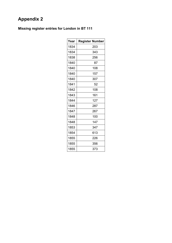# <span id="page-15-0"></span>**Appendix 2**

## **Missing register entries for London in BT 111**

| Year | <b>Register Number</b> |
|------|------------------------|
| 1834 | 203                    |
| 1834 | 343                    |
| 1838 | 256                    |
| 1840 | 87                     |
| 1840 | 108                    |
| 1840 | 157                    |
| 1840 | 307                    |
| 1841 | 52                     |
| 1842 | 108                    |
| 1843 | 161                    |
| 1844 | 127                    |
| 1846 | 287                    |
| 1847 | 267                    |
| 1848 | 100                    |
| 1848 | 147                    |
| 1853 | 347                    |
| 1854 | 613                    |
| 1855 | 226                    |
| 1855 | 356                    |
| 1855 | 373                    |